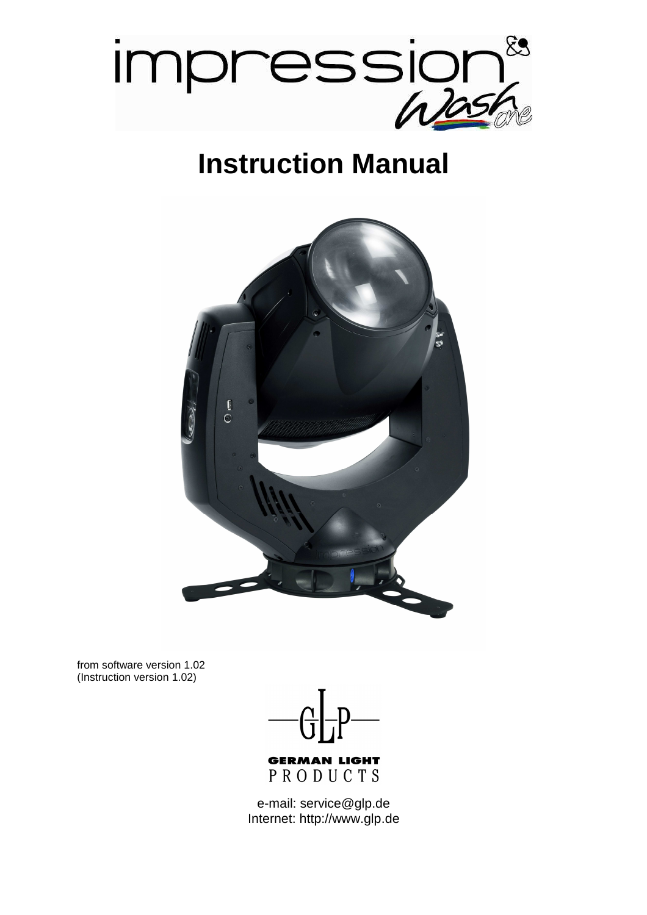

## **Instruction Manual**



from software version 1.02 (Instruction version 1.02)



PRODUCTS

e-mail: service@glp.de Internet: http://www.glp.de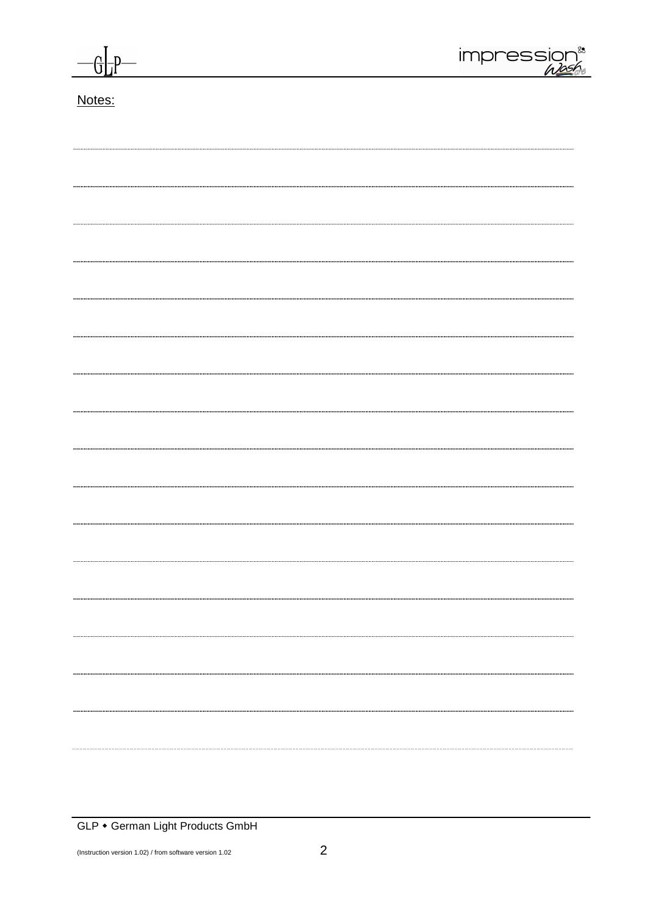

### Notes: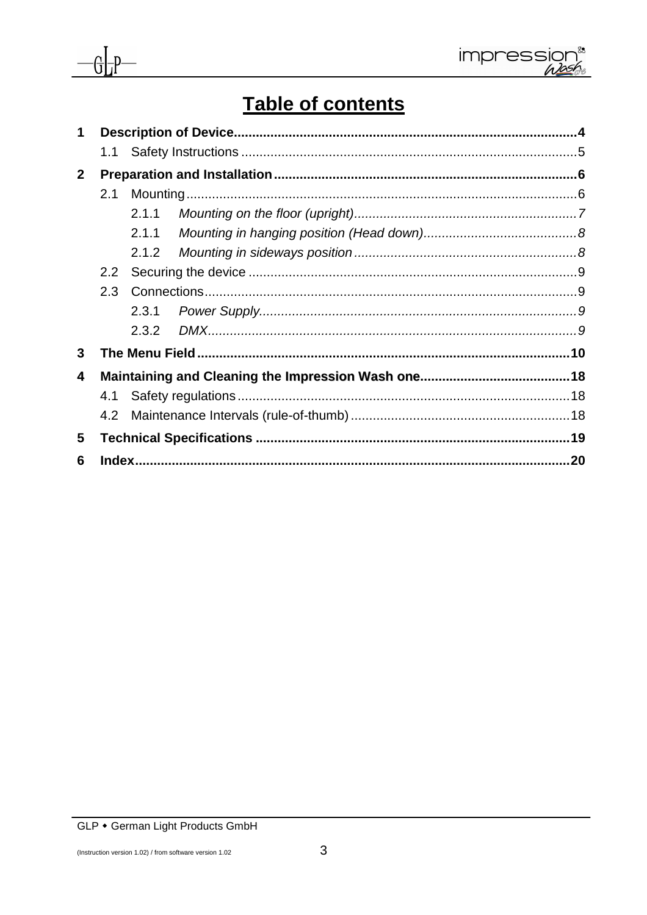

# $-\frac{1}{2}$

## Table of contents

| $\mathbf 1$    |     |       |  |
|----------------|-----|-------|--|
|                |     |       |  |
| 2 <sup>1</sup> |     |       |  |
|                | 2.1 |       |  |
|                |     | 2.1.1 |  |
|                |     |       |  |
|                |     |       |  |
|                | 2.2 |       |  |
|                | 2.3 |       |  |
|                |     |       |  |
|                |     |       |  |
| 3              |     |       |  |
| 4              |     |       |  |
|                | 4.1 |       |  |
|                | 4.2 |       |  |
| 5              |     |       |  |
| 6              |     |       |  |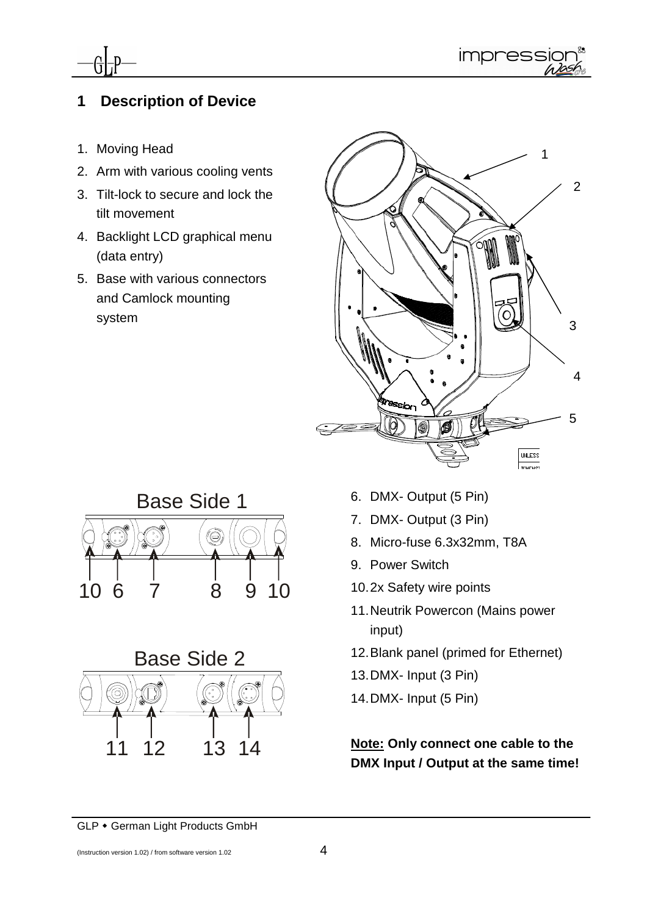



## **1 Description of Device**

- 1. Moving Head
- 2. Arm with various cooling vents
- 3. Tilt-lock to secure and lock the tilt movement
- 4. Backlight LCD graphical menu (data entry)
- 5. Base with various connectors and Camlock mounting system







- 6. DMX- Output (5 Pin)
- 7. DMX- Output (3 Pin)
- 8. Micro-fuse 6.3x32mm, T8A
- 9. Power Switch
- 10. 2x Safety wire points
- 11. Neutrik Powercon (Mains power input)
- 12. Blank panel (primed for Ethernet)
- 13. DMX- Input (3 Pin)
- 14. DMX- Input (5 Pin)

**Note: Only connect one cable to the DMX Input / Output at the same time!**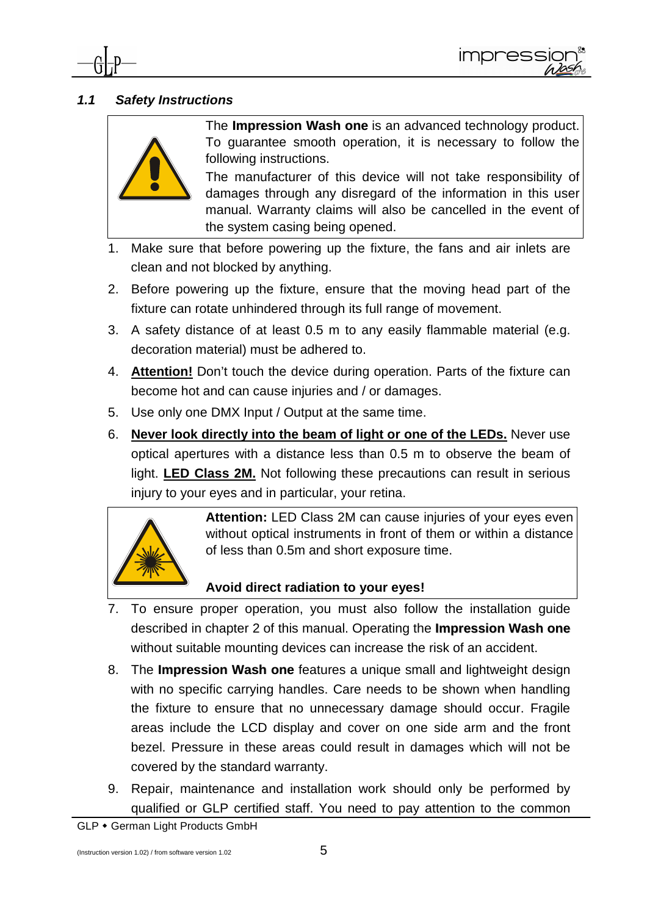

#### **1.1 Safety Instructions**



The **Impression Wash one** is an advanced technology product. To guarantee smooth operation, it is necessary to follow the following instructions.

The manufacturer of this device will not take responsibility of damages through any disregard of the information in this user manual. Warranty claims will also be cancelled in the event of the system casing being opened.

- 1. Make sure that before powering up the fixture, the fans and air inlets are clean and not blocked by anything.
- 2. Before powering up the fixture, ensure that the moving head part of the fixture can rotate unhindered through its full range of movement.
- 3. A safety distance of at least 0.5 m to any easily flammable material (e.g. decoration material) must be adhered to.
- 4. **Attention!** Don't touch the device during operation. Parts of the fixture can become hot and can cause injuries and / or damages.
- 5. Use only one DMX Input / Output at the same time.
- 6. **Never look directly into the beam of light or one of the LEDs.** Never use optical apertures with a distance less than 0.5 m to observe the beam of light. **LED Class 2M.** Not following these precautions can result in serious injury to your eyes and in particular, your retina.



Attention: LED Class 2M can cause injuries of your eyes even without optical instruments in front of them or within a distance of less than 0.5m and short exposure time.

#### **Avoid direct radiation to your eyes!**

- 7. To ensure proper operation, you must also follow the installation guide described in chapter 2 of this manual. Operating the **Impression Wash one** without suitable mounting devices can increase the risk of an accident.
- 8. The **Impression Wash one** features a unique small and lightweight design with no specific carrying handles. Care needs to be shown when handling the fixture to ensure that no unnecessary damage should occur. Fragile areas include the LCD display and cover on one side arm and the front bezel. Pressure in these areas could result in damages which will not be covered by the standard warranty.
- 9. Repair, maintenance and installation work should only be performed by qualified or GLP certified staff. You need to pay attention to the common

GLP • German Light Products GmbH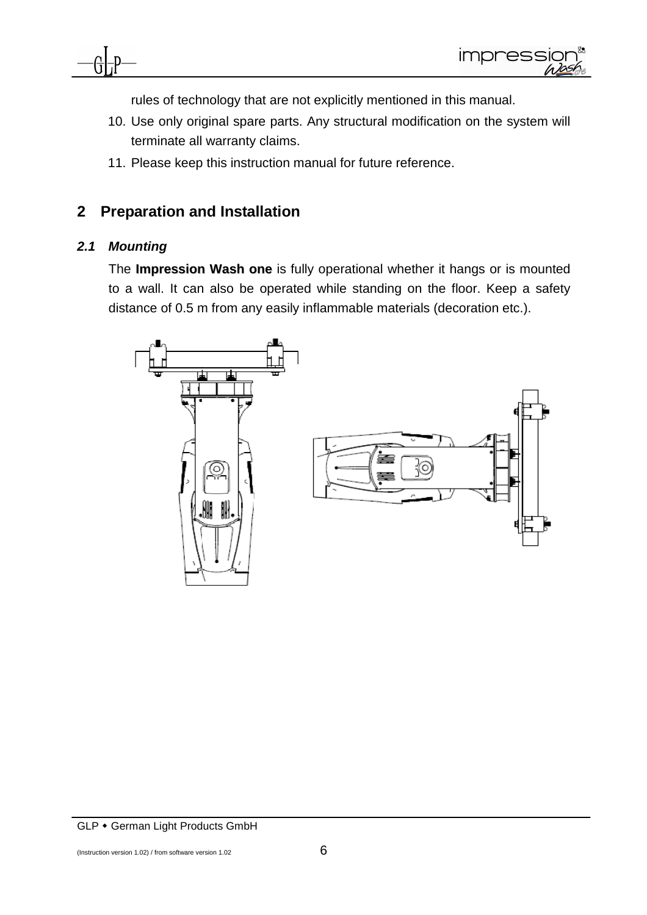

rules of technology that are not explicitly mentioned in this manual.

- 10. Use only original spare parts. Any structural modification on the system will terminate all warranty claims.
- 11. Please keep this instruction manual for future reference.

## **2 Preparation and Installation**

#### **2.1 Mounting**

The **Impression Wash one** is fully operational whether it hangs or is mounted to a wall. It can also be operated while standing on the floor. Keep a safety distance of 0.5 m from any easily inflammable materials (decoration etc.).



GLP • German Light Products GmbH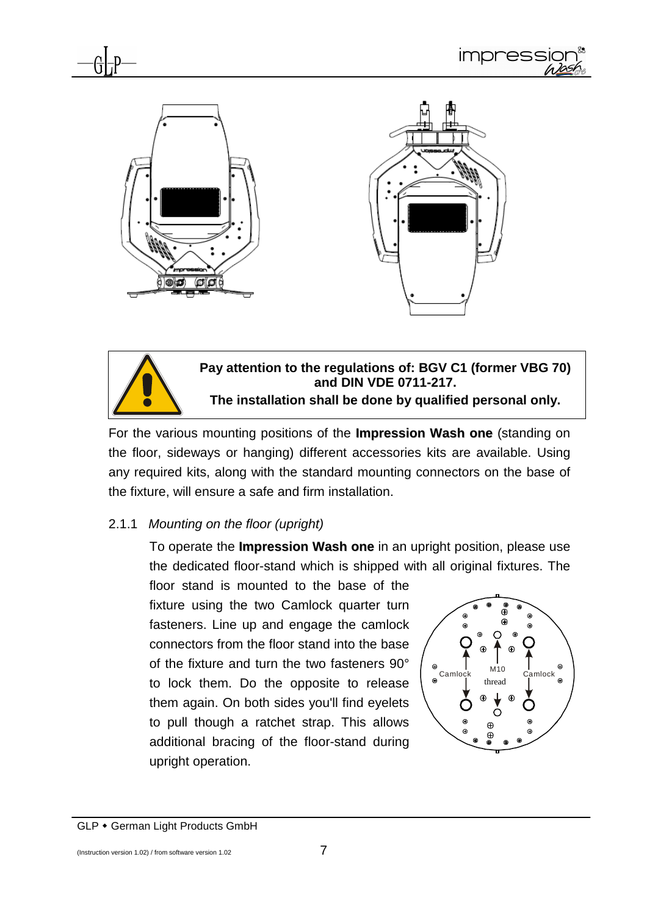



For the various mounting positions of the **Impression Wash one** (standing on the floor, sideways or hanging) different accessories kits are available. Using any required kits, along with the standard mounting connectors on the base of the fixture, will ensure a safe and firm installation.

#### 2.1.1 Mounting on the floor (upright)

To operate the **Impression Wash one** in an upright position, please use the dedicated floor-stand which is shipped with all original fixtures. The

floor stand is mounted to the base of the fixture using the two Camlock quarter turn fasteners. Line up and engage the camlock connectors from the floor stand into the base of the fixture and turn the two fasteners 90° to lock them. Do the opposite to release them again. On both sides you'll find eyelets to pull though a ratchet strap. This allows additional bracing of the floor-stand during upright operation.



GLP • German Light Products GmbH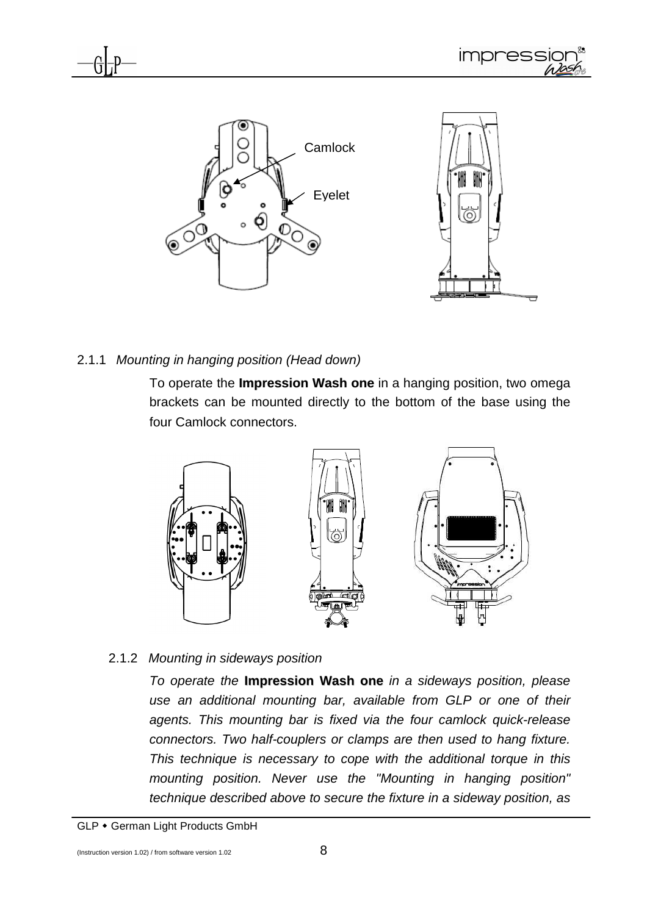

#### 2.1.1 Mounting in hanging position (Head down)

To operate the **Impression Wash one** in a hanging position, two omega brackets can be mounted directly to the bottom of the base using the four Camlock connectors.



#### 2.1.2 Mounting in sideways position

To operate the **Impression Wash one** in a sideways position, please use an additional mounting bar, available from GLP or one of their agents. This mounting bar is fixed via the four camlock quick-release connectors. Two half-couplers or clamps are then used to hang fixture. This technique is necessary to cope with the additional torque in this mounting position. Never use the "Mounting in hanging position" technique described above to secure the fixture in a sideway position, as

GLP • German Light Products GmbH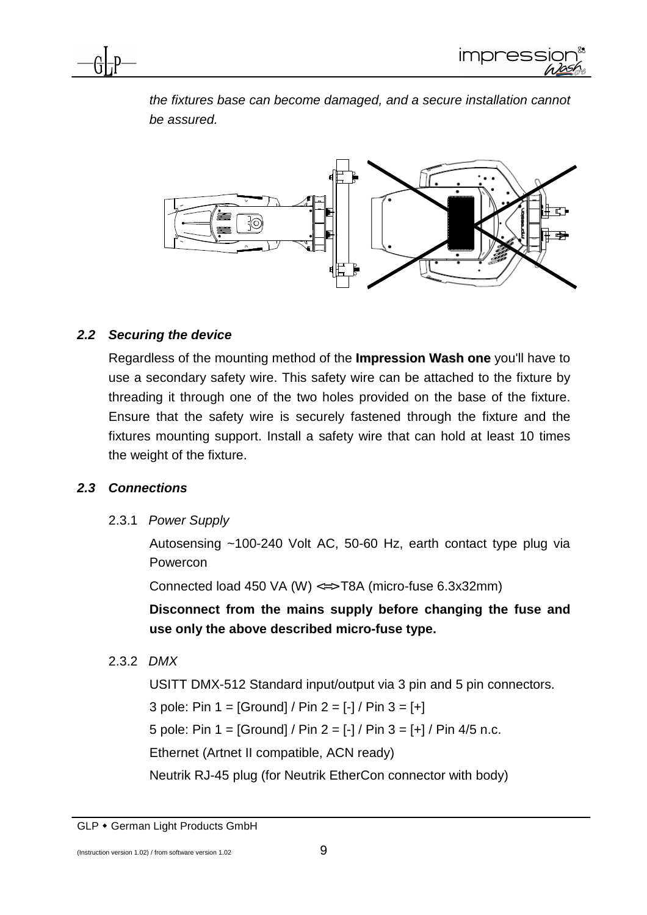

the fixtures base can become damaged, and a secure installation cannot be assured.



#### **2.2 Securing the device**

Regardless of the mounting method of the **Impression Wash one** you'll have to use a secondary safety wire. This safety wire can be attached to the fixture by threading it through one of the two holes provided on the base of the fixture. Ensure that the safety wire is securely fastened through the fixture and the fixtures mounting support. Install a safety wire that can hold at least 10 times the weight of the fixture.

#### **2.3 Connections**

2.3.1 Power Supply

Autosensing ~100-240 Volt AC, 50-60 Hz, earth contact type plug via Powercon

Connected load 450 VA (W) <=> T8A (micro-fuse 6.3x32mm)

**Disconnect from the mains supply before changing the fuse and use only the above described micro-fuse type.** 

2.3.2 DMX

USITT DMX-512 Standard input/output via 3 pin and 5 pin connectors.

3 pole: Pin  $1 = [Ground] / Pin 2 = [-] / Pin 3 = [+]$ 

5 pole: Pin  $1 = [Ground] / Pin 2 = [-] / Pin 3 = [+] / Pin 4/5 n.c.$ 

Ethernet (Artnet II compatible, ACN ready)

Neutrik RJ-45 plug (for Neutrik EtherCon connector with body)

GLP • German Light Products GmbH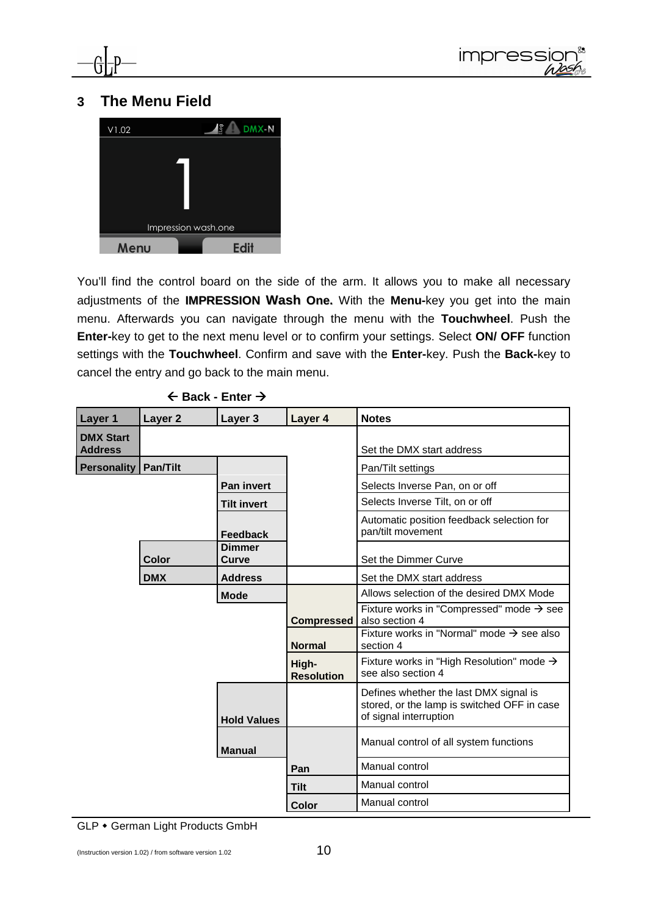



#### **3 The Menu Field**



You'll find the control board on the side of the arm. It allows you to make all necessary adjustments of the **IMPRESSION Wash One.** With the **Menu-**key you get into the main menu. Afterwards you can navigate through the menu with the **Touchwheel**. Push the **Enter-**key to get to the next menu level or to confirm your settings. Select **ON/ OFF** function settings with the **Touchwheel**. Confirm and save with the **Enter-**key. Push the **Back-**key to cancel the entry and go back to the main menu.

| $\leftarrow$ Back - Enter $\rightarrow$ |  |
|-----------------------------------------|--|
|-----------------------------------------|--|

| Layer 1                            | Layer <sub>2</sub> | Layer 3                | Layer 4                                | <b>Notes</b>                                                                                                    |
|------------------------------------|--------------------|------------------------|----------------------------------------|-----------------------------------------------------------------------------------------------------------------|
| <b>DMX Start</b><br><b>Address</b> |                    |                        |                                        | Set the DMX start address                                                                                       |
| <b>Personality</b>                 | <b>Pan/Tilt</b>    |                        |                                        | Pan/Tilt settings                                                                                               |
|                                    |                    | <b>Pan invert</b>      |                                        | Selects Inverse Pan, on or off                                                                                  |
|                                    |                    | <b>Tilt invert</b>     |                                        | Selects Inverse Tilt, on or off                                                                                 |
|                                    |                    | <b>Feedback</b>        |                                        | Automatic position feedback selection for<br>pan/tilt movement                                                  |
|                                    | Color              | <b>Dimmer</b><br>Curve |                                        | Set the Dimmer Curve                                                                                            |
|                                    | <b>DMX</b>         | <b>Address</b>         |                                        | Set the DMX start address                                                                                       |
|                                    | <b>Mode</b>        |                        |                                        | Allows selection of the desired DMX Mode                                                                        |
|                                    |                    |                        | <b>Compressed</b>                      | Fixture works in "Compressed" mode $\rightarrow$ see<br>also section 4                                          |
|                                    |                    |                        | <b>Normal</b>                          | Fixture works in "Normal" mode $\rightarrow$ see also<br>section 4                                              |
|                                    |                    |                        | High-<br><b>Resolution</b>             | Fixture works in "High Resolution" mode $\rightarrow$<br>see also section 4                                     |
|                                    |                    | <b>Hold Values</b>     |                                        | Defines whether the last DMX signal is<br>stored, or the lamp is switched OFF in case<br>of signal interruption |
| <b>Manual</b>                      |                    |                        | Manual control of all system functions |                                                                                                                 |
|                                    |                    |                        | Pan                                    | Manual control                                                                                                  |
|                                    |                    |                        | <b>Tilt</b>                            | Manual control                                                                                                  |
|                                    |                    |                        | Color                                  | Manual control                                                                                                  |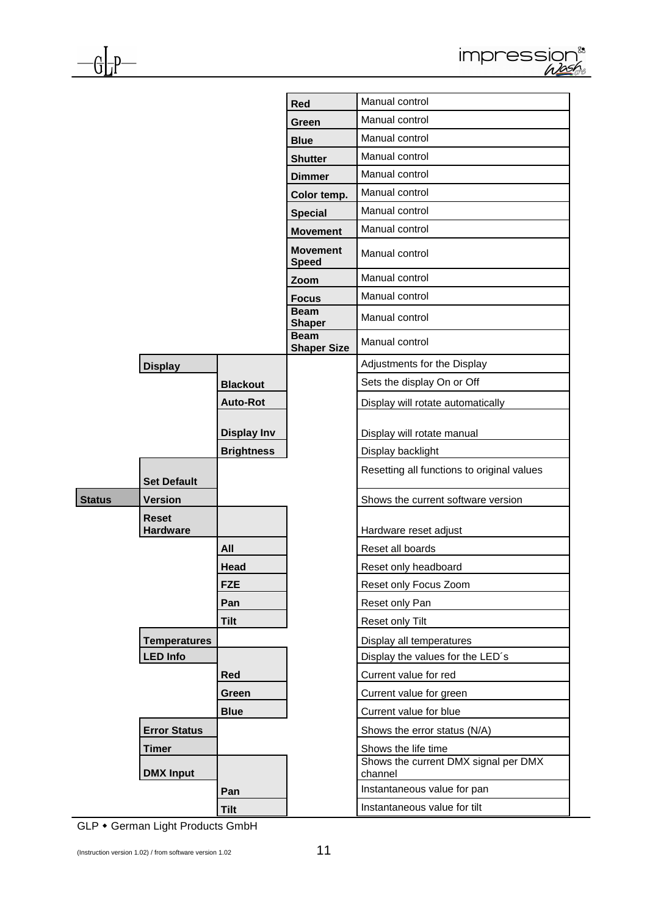|               |                                 |                    | Red                               | Manual control                                  |
|---------------|---------------------------------|--------------------|-----------------------------------|-------------------------------------------------|
|               |                                 |                    | Green                             | Manual control                                  |
|               |                                 |                    | <b>Blue</b>                       | Manual control                                  |
|               |                                 |                    | <b>Shutter</b>                    | Manual control                                  |
|               |                                 |                    | <b>Dimmer</b>                     | Manual control                                  |
|               |                                 |                    | Color temp.                       | Manual control                                  |
|               |                                 |                    | <b>Special</b>                    | Manual control                                  |
|               |                                 |                    | <b>Movement</b>                   | Manual control                                  |
|               |                                 |                    | <b>Movement</b><br><b>Speed</b>   | Manual control                                  |
|               |                                 |                    | Zoom                              | Manual control                                  |
|               |                                 |                    | <b>Focus</b>                      | Manual control                                  |
|               |                                 |                    | <b>Beam</b><br><b>Shaper</b>      | Manual control                                  |
|               |                                 |                    | <b>Beam</b><br><b>Shaper Size</b> | Manual control                                  |
|               | <b>Display</b>                  |                    |                                   | Adjustments for the Display                     |
|               |                                 | <b>Blackout</b>    |                                   | Sets the display On or Off                      |
|               |                                 | <b>Auto-Rot</b>    |                                   | Display will rotate automatically               |
|               |                                 | <b>Display Inv</b> |                                   | Display will rotate manual                      |
|               |                                 | <b>Brightness</b>  |                                   | Display backlight                               |
|               | <b>Set Default</b>              |                    |                                   | Resetting all functions to original values      |
| <b>Status</b> | <b>Version</b>                  |                    |                                   | Shows the current software version              |
|               | <b>Reset</b><br><b>Hardware</b> |                    |                                   | Hardware reset adjust                           |
|               |                                 | All                |                                   | Reset all boards                                |
|               |                                 | Head               |                                   | Reset only headboard                            |
|               |                                 | <b>FZE</b>         |                                   | Reset only Focus Zoom                           |
|               |                                 | Pan                |                                   | Reset only Pan                                  |
|               |                                 | Tilt               |                                   | Reset only Tilt                                 |
|               | <b>Temperatures</b>             |                    |                                   | Display all temperatures                        |
|               | <b>LED Info</b>                 |                    |                                   | Display the values for the LED's                |
|               |                                 | Red                |                                   | Current value for red                           |
|               |                                 | Green              |                                   | Current value for green                         |
|               |                                 | <b>Blue</b>        |                                   | Current value for blue                          |
|               | <b>Error Status</b>             |                    |                                   | Shows the error status (N/A)                    |
|               | <b>Timer</b>                    |                    |                                   | Shows the life time                             |
|               | <b>DMX Input</b>                |                    |                                   | Shows the current DMX signal per DMX<br>channel |
|               |                                 | Pan                |                                   | Instantaneous value for pan                     |
|               |                                 | <b>Tilt</b>        |                                   | Instantaneous value for tilt                    |

GLP • German Light Products GmbH

 $-\frac{G}{D}$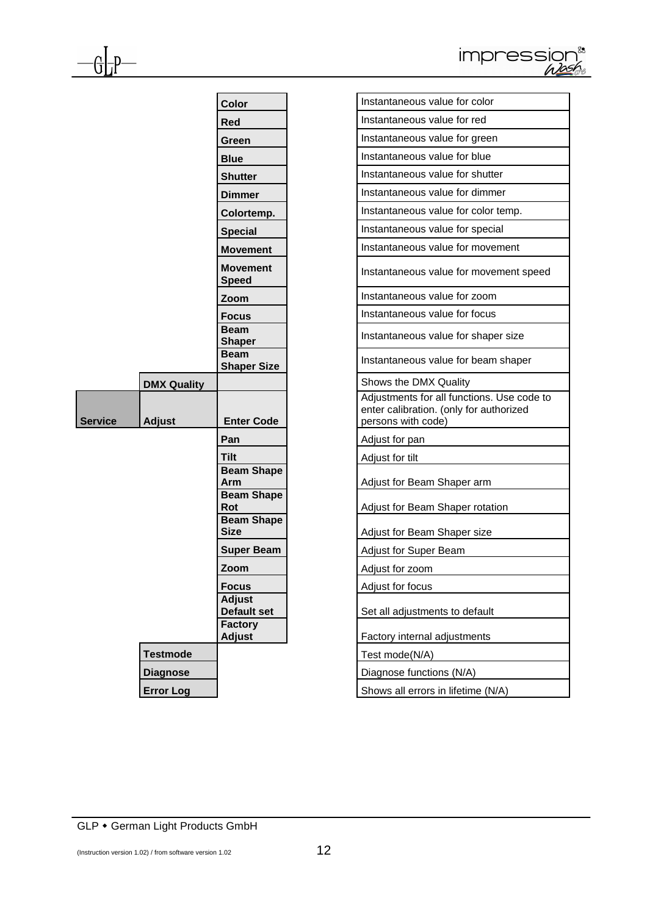| IN USSION |  |
|-----------|--|
|           |  |

|                |                    | Color                                         | Instantaneous value for color                                                                    |
|----------------|--------------------|-----------------------------------------------|--------------------------------------------------------------------------------------------------|
|                |                    | <b>Red</b>                                    | Instantaneous value for red                                                                      |
|                |                    | Green                                         | Instantaneous value for green                                                                    |
|                |                    | <b>Blue</b>                                   | Instantaneous value for blue                                                                     |
|                |                    | <b>Shutter</b>                                | Instantaneous value for shutter                                                                  |
|                |                    | <b>Dimmer</b>                                 | Instantaneous value for dimmer                                                                   |
|                |                    | Colortemp.                                    | Instantaneous value for color tem                                                                |
|                |                    | <b>Special</b>                                | Instantaneous value for special                                                                  |
|                |                    | <b>Movement</b>                               | Instantaneous value for moveme                                                                   |
|                |                    | <b>Movement</b><br><b>Speed</b>               | Instantaneous value for moveme                                                                   |
|                |                    | Zoom                                          | Instantaneous value for zoom                                                                     |
|                |                    | <b>Focus</b>                                  | Instantaneous value for focus                                                                    |
|                |                    | <b>Beam</b><br><b>Shaper</b>                  | Instantaneous value for shaper s                                                                 |
|                |                    | <b>Beam</b><br><b>Shaper Size</b>             | Instantaneous value for beam sh                                                                  |
|                | <b>DMX Quality</b> |                                               | Shows the DMX Quality                                                                            |
| <b>Service</b> | <b>Adjust</b>      | <b>Enter Code</b>                             | Adjustments for all functions. Use<br>enter calibration. (only for authori<br>persons with code) |
|                |                    | Pan                                           | Adjust for pan                                                                                   |
|                |                    | <b>Tilt</b>                                   | Adjust for tilt                                                                                  |
|                |                    | <b>Beam Shape</b><br>Arm                      | Adjust for Beam Shaper arm                                                                       |
|                |                    | <b>Beam Shape</b><br>Rot<br><b>Beam Shape</b> | Adjust for Beam Shaper rotation                                                                  |
|                |                    | <b>Size</b>                                   | Adjust for Beam Shaper size                                                                      |
|                |                    | <b>Super Beam</b>                             | Adjust for Super Beam                                                                            |
|                |                    | Zoom                                          | Adjust for zoom                                                                                  |
|                |                    | <b>Focus</b>                                  | Adjust for focus                                                                                 |
|                |                    | <b>Adjust</b><br><b>Default set</b>           | Set all adjustments to default                                                                   |
|                |                    | <b>Factory</b><br><b>Adjust</b>               | Factory internal adjustments                                                                     |
|                | <b>Testmode</b>    |                                               | Test mode(N/A)                                                                                   |
|                |                    |                                               | Diagnose functions (N/A)                                                                         |
|                | <b>Diagnose</b>    |                                               |                                                                                                  |

 $\mathbb{G}$ 

| Color                             | Instantaneous value for color                                                                               |
|-----------------------------------|-------------------------------------------------------------------------------------------------------------|
| Red                               | Instantaneous value for red                                                                                 |
| Green                             | Instantaneous value for green                                                                               |
| <b>Blue</b>                       | Instantaneous value for blue                                                                                |
| Shutter                           | Instantaneous value for shutter                                                                             |
| Dimmer                            | Instantaneous value for dimmer                                                                              |
| Colortemp.                        | Instantaneous value for color temp.                                                                         |
| <b>Special</b>                    | Instantaneous value for special                                                                             |
| <b>Movement</b>                   | Instantaneous value for movement                                                                            |
| <b>Movement</b><br>Speed          | Instantaneous value for movement speed                                                                      |
| Zoom                              | Instantaneous value for zoom                                                                                |
| <b>Focus</b>                      | Instantaneous value for focus                                                                               |
| <b>Beam</b><br><b>Shaper</b>      | Instantaneous value for shaper size                                                                         |
| <b>Beam</b><br><b>Shaper Size</b> | Instantaneous value for beam shaper                                                                         |
|                                   | Shows the DMX Quality                                                                                       |
| <b>Enter Code</b>                 | Adjustments for all functions. Use code to<br>enter calibration. (only for authorized<br>persons with code) |
| Pan                               | Adjust for pan                                                                                              |
| Tilt                              | Adjust for tilt                                                                                             |
| <b>Beam Shape</b><br>Arm          | Adjust for Beam Shaper arm                                                                                  |
| <b>Beam Shape</b><br>Rot          | Adjust for Beam Shaper rotation                                                                             |
| <b>Beam Shape</b><br>Size         | Adjust for Beam Shaper size                                                                                 |
| <b>Super Beam</b>                 | <b>Adjust for Super Beam</b>                                                                                |
| Zoom                              | Adjust for zoom                                                                                             |
| Focus                             | Adjust for focus                                                                                            |
| <b>Adjust</b><br>Default set      | Set all adjustments to default                                                                              |
| <b>Factory</b><br><b>Adjust</b>   | Factory internal adjustments                                                                                |
|                                   | Test mode(N/A)                                                                                              |
|                                   | Diagnose functions (N/A)                                                                                    |
|                                   | Shows all errors in lifetime (N/A)                                                                          |
|                                   |                                                                                                             |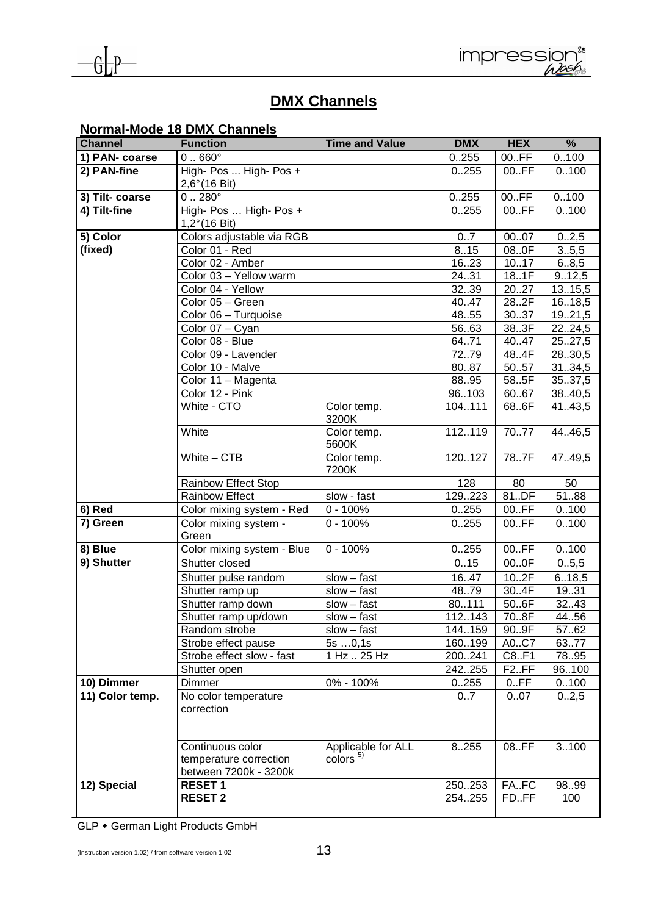



## **DMX Channels**

|                 | <b>Normal-Mode 18 DMX Channels</b>                                  |                                                          |                |                    |                   |
|-----------------|---------------------------------------------------------------------|----------------------------------------------------------|----------------|--------------------|-------------------|
| <b>Channel</b>  | <b>Function</b>                                                     | <b>Time and Value</b>                                    | <b>DMX</b>     | <b>HEX</b>         | $\frac{9}{6}$     |
| 1) PAN- coarse  | $0.660^\circ$                                                       |                                                          | 0.255          | 00.FF              | 0.100             |
| 2) PAN-fine     | High- Pos  High- Pos +                                              |                                                          | 0.255          | 00.FF              | 0.100             |
|                 | $2,6^{\circ}$ (16 Bit)                                              |                                                          |                |                    |                   |
| 3) Tilt- coarse | $0.280^\circ$                                                       |                                                          | 0.255          | 00.FF              | 0.100             |
| 4) Tilt-fine    | High- Pos  High- Pos +                                              |                                                          | 0.255          | 00.FF              | 0.100             |
|                 | $1,2^{\circ}$ (16 Bit)                                              |                                                          |                |                    |                   |
| 5) Color        | Colors adjustable via RGB                                           |                                                          | 0.7            | 0007               | 02,5              |
| (fixed)         | Color 01 - Red                                                      |                                                          | 8.15           | 080F               | 3.5,5             |
|                 | Color 02 - Amber<br>Color 03 - Yellow warm                          |                                                          | 16.23<br>24.31 | 1017<br>18.1F      | 6.8,5             |
|                 | Color 04 - Yellow                                                   |                                                          | 3239           | 20.27              | 9.12,5<br>13.15,5 |
|                 | Color 05 - Green                                                    |                                                          | 40.47          | 28.2F              | 16.18,5           |
|                 | Color 06 - Turquoise                                                |                                                          | 48.55          | 30.37              | 1921,5            |
|                 | Color 07 - Cyan                                                     |                                                          | 56.63          | 38.3F              | 2224,5            |
|                 | Color 08 - Blue                                                     |                                                          | 64.71          | 40.47              | 2527,5            |
|                 | Color 09 - Lavender                                                 |                                                          | 7279           | 48.4F              | 2830,5            |
|                 | Color 10 - Malve                                                    |                                                          | 8087           | 5057               | 3134,5            |
|                 | Color 11 - Magenta                                                  |                                                          | 88.95          | 58.5F              | 3537,5            |
|                 | Color 12 - Pink                                                     |                                                          | 96103          | 60.67              | 38.40,5           |
|                 | White - CTO                                                         | Color temp.                                              | 104.111        | 68.6F              | 41.43,5           |
|                 |                                                                     | 3200K                                                    |                |                    |                   |
|                 | White                                                               | Color temp.<br>5600K                                     | 112119         | 7077               | 44.46,5           |
|                 | White $-$ CTB                                                       | Color temp.<br>7200K                                     | 120127         | 787F               | 47.49,5           |
|                 | <b>Rainbow Effect Stop</b>                                          |                                                          | 128            | 80                 | 50                |
|                 | Rainbow Effect                                                      | slow - fast                                              | 129223         | 81.DF              | $\frac{1}{51.88}$ |
| $6)$ Red        | Color mixing system - Red                                           | $0 - 100%$                                               | 0.255          | 00.FF              | 0.100             |
| 7) Green        | Color mixing system -<br>Green                                      | $0 - 100%$                                               | 0.255          | 00.FF              | 0.100             |
| 8) Blue         | Color mixing system - Blue                                          | $0 - 100%$                                               | 0.255          | 00.FF              | 0.100             |
| 9) Shutter      | Shutter closed                                                      |                                                          | 0.15           | 000F               | 0.5,5             |
|                 | Shutter pulse random                                                | $slow - fast$                                            | 16.47          | 10.2F              | 6.18,5            |
|                 | Shutter ramp up                                                     | $slow - fast$                                            | 48.79          | 30.4F              | 19.31             |
|                 | Shutter ramp down                                                   | $slow - fast$                                            | 80.111         | 50.6F              | 3243              |
|                 | Shutter ramp up/down                                                | $slow - fast$                                            | 112143         | 70.8F              | 44.56             |
|                 | Random strobe                                                       | $slow - fast$                                            | 144.159        | 90.9F              | 57.62             |
|                 | Strobe effect pause                                                 | 5s0,1s                                                   | 160199         | A0C7               | 63.77             |
|                 | Strobe effect slow - fast                                           | 1 Hz  25 Hz                                              | 200241         | C8.F1              | 7895              |
|                 | Shutter open                                                        |                                                          | 242255         | F <sub>2</sub> .FF | 96100             |
| 10) Dimmer      | <b>Dimmer</b>                                                       | 0% - 100%                                                | 0255           | 0.FF               | 0.100             |
| 11) Color temp. | No color temperature<br>correction                                  |                                                          | 07             | 0.07               | 02,5              |
|                 | Continuous color<br>temperature correction<br>between 7200k - 3200k | Applicable for ALL<br>$\frac{1}{2}$ colors $\frac{5}{2}$ | 8255           | 08.FF              | 3100              |
| 12) Special     | <b>RESET 1</b>                                                      |                                                          | 250253         | FA.FC              | 9899              |
|                 | <b>RESET 2</b>                                                      |                                                          | 254.255        | FD.FF              | 100               |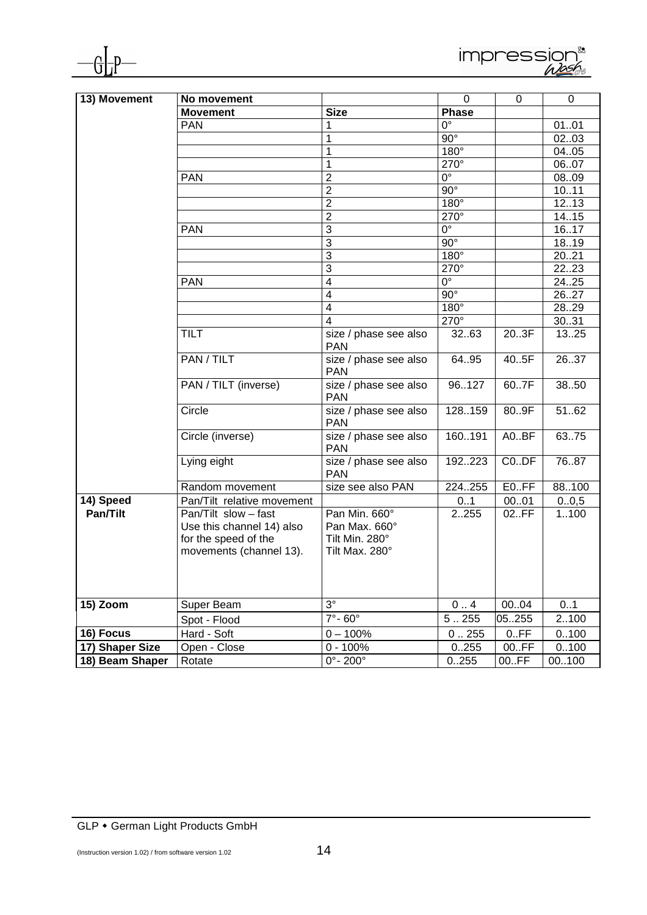



| 13) Movement                 | No movement                                       |                                     | $\mathbf 0$ | 0        | 0                 |
|------------------------------|---------------------------------------------------|-------------------------------------|-------------|----------|-------------------|
|                              | <b>Movement</b>                                   | <b>Size</b>                         | Phase       |          |                   |
|                              | <b>PAN</b>                                        | 1                                   | $0^{\circ}$ |          | 0101              |
|                              |                                                   | 1                                   | $90^\circ$  |          | 0203              |
|                              |                                                   | 1                                   | $180^\circ$ |          | 04.05             |
|                              |                                                   | 1                                   | 270°        |          | 0607              |
|                              | <b>PAN</b>                                        | $\overline{2}$                      | $0^{\circ}$ |          | 0809              |
|                              |                                                   | $\overline{2}$                      | $90^\circ$  |          | 1011              |
|                              |                                                   | $\overline{2}$                      | $180^\circ$ |          | 12.13             |
|                              |                                                   | $\overline{2}$                      | $270^\circ$ |          | 14.15             |
|                              | <b>PAN</b>                                        | 3                                   | $0^{\circ}$ |          | 16.17             |
|                              |                                                   | 3                                   | $90^\circ$  |          | 18.19             |
|                              |                                                   | 3                                   | $180^\circ$ |          | 2021              |
|                              |                                                   | 3                                   | 270°        |          | 22.23             |
|                              | <b>PAN</b>                                        | $\overline{\mathcal{A}}$            | $0^{\circ}$ |          | 24.25             |
|                              |                                                   | 4                                   | $90^\circ$  |          | 26.27             |
|                              |                                                   | 4                                   | $180^\circ$ |          | 28.29             |
|                              |                                                   | 4                                   | 270°        |          | 30.31             |
|                              | <b>TILT</b>                                       | size / phase see also<br><b>PAN</b> | 32.63       | 203F     | $\overline{1325}$ |
|                              | PAN / TILT                                        | size / phase see also<br><b>PAN</b> | 64.95       | 40.5F    | 2637              |
|                              | PAN / TILT (inverse)                              | size / phase see also<br><b>PAN</b> | 96.127      | 60.7F    | 3850              |
|                              | Circle                                            | size / phase see also<br><b>PAN</b> | 128.159     | 80.9F    | 5162              |
|                              | Circle (inverse)                                  | size / phase see also<br><b>PAN</b> | 160191      | A0BF     | 63.75             |
|                              | Lying eight                                       | size / phase see also<br><b>PAN</b> | 192223      | $CO.$ DF | 7687              |
|                              | Random movement                                   | size see also PAN                   | 224.255     | E0.FF    | 88100             |
| 14) Speed                    | Pan/Tilt relative movement                        |                                     | 01          | 0001     | 0.0,5             |
| Pan/Tilt                     | Pan/Tilt slow - fast<br>Use this channel 14) also | Pan Min. 660°<br>Pan Max. 660°      | 2255        | 02.FF    | 1100              |
|                              | for the speed of the<br>movements (channel 13).   | Tilt Min. 280°<br>Tilt Max. 280°    |             |          |                   |
|                              |                                                   |                                     |             |          |                   |
| 15) Zoom                     | Super Beam                                        | $3^\circ$                           | 0.4         | 0004     | 0.1               |
|                              | Spot - Flood                                      | $7^\circ$ -60 $^\circ$              | 5.255       | 05255    | 2100              |
|                              | Hard - Soft                                       | $0 - 100%$                          | 0.255       | 0.FF     |                   |
| 16) Focus<br>17) Shaper Size |                                                   | $0 - 100%$                          |             | 00.FF    | 0.100             |
|                              | Open - Close                                      |                                     | 0255        |          | 0.100             |
| 18) Beam Shaper              | Rotate                                            | $0^\circ$ - 200 $^\circ$            | 0.255       | 00.FF    | 00100             |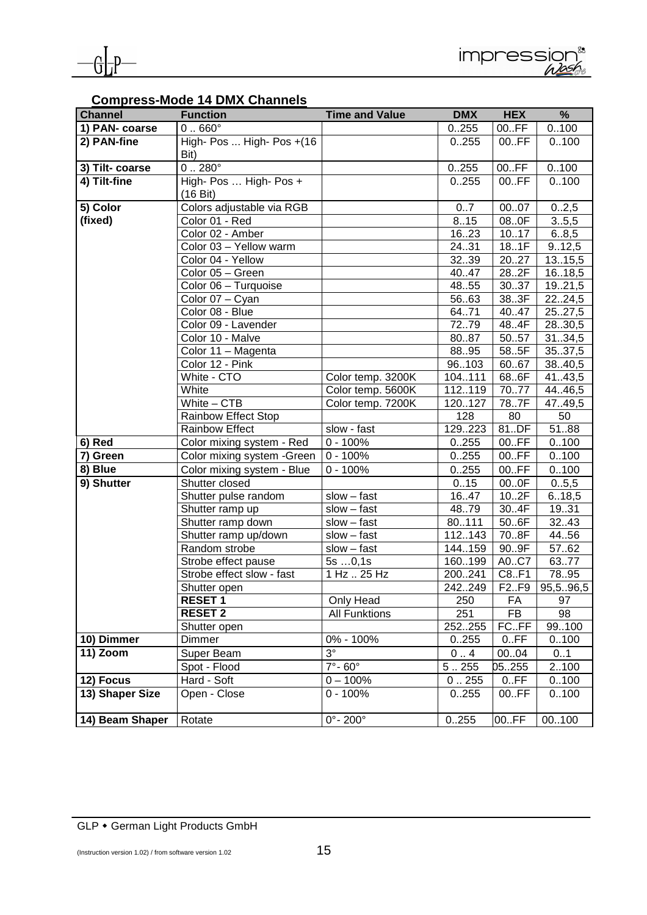

#### **Compress-Mode 14 DMX Channels**

| <b>Channel</b>  | <b>Function</b>                              | <b>Time and Value</b>    | <b>DMX</b>    | <b>HEX</b>  | $\frac{9}{6}$         |
|-----------------|----------------------------------------------|--------------------------|---------------|-------------|-----------------------|
| 1) PAN- coarse  | $0.660^\circ$                                |                          | 0.255         | 00.FF       | 0.100                 |
| 2) PAN-fine     | High- Pos  High- Pos +(16)<br>Bit)           |                          | 0.255         | 00.FF       | 0.100                 |
| 3) Tilt- coarse | $0.280^\circ$                                |                          | 0.255         | 00.FF       | 0.100                 |
| 4) Tilt-fine    | High- Pos  High- Pos +<br>$(16 \text{ Bit})$ |                          | 0.255         | 00.FF       | 0.100                 |
| 5) Color        | Colors adjustable via RGB                    |                          | 0.7           | 0007        | 02,5                  |
| (fixed)         | Color 01 - Red                               |                          | 8.15          | 08.0F       | 3.5,5                 |
|                 | Color 02 - Amber                             |                          | 1623          | 1017        | 6.8,5                 |
|                 | Color 03 - Yellow warm                       |                          | 24.31         | 18.1F       | 9.12,5                |
|                 | Color 04 - Yellow                            |                          | 3239          | 2027        | 13.15,5               |
|                 | Color 05 - Green                             |                          | 40.47         | 28.2F       | 16.18,5               |
|                 | Color 06 - Turquoise                         |                          | 48.55         | 30.37       | 1921,5                |
|                 | Color 07 - Cyan                              |                          | 5663          | 38.3F       | 2224,5                |
|                 | Color 08 - Blue                              |                          | 64.71         | 40.47       | 2527,5                |
|                 | Color 09 - Lavender                          |                          | 72.79         | 48.4F       | 28.30,5               |
|                 | Color 10 - Malve                             |                          | 80.87         | 50.57       | 3134,5                |
|                 | Color 11 - Magenta                           |                          | 8895          | 58.5F       | 35.37,5               |
|                 | Color 12 - Pink                              |                          | 96103         | 60.67       | 38.40,5               |
|                 | White - CTO                                  | Color temp. 3200K        | 104111        | 68.6F       | 41.43,5               |
|                 | White                                        | Color temp. 5600K        | 112119        | 7077        | 44.46,5               |
|                 | White $-$ CTB                                | Color temp. 7200K        | 120127<br>128 | 78.7F       | 47.49,5<br>50         |
|                 | Rainbow Effect Stop<br><b>Rainbow Effect</b> | slow - fast              | 129.223       | 80<br>81.DF | 5188                  |
| 6) Red          | Color mixing system - Red                    | $0 - 100%$               | 0.255         | 00.FF       | 0.100                 |
| 7) Green        | Color mixing system - Green                  | $0 - 100%$               | 0.255         | 00.FF       | 0.100                 |
| 8) Blue         | Color mixing system - Blue                   | $0 - 100%$               | 0.255         | 00.FF       | 0.100                 |
| 9) Shutter      | Shutter closed                               |                          | 0.15          | 000F        | 0.5,5                 |
|                 | Shutter pulse random                         | $slow - fast$            | 16.47         | 10.2F       | 6.18,5                |
|                 | Shutter ramp up                              | $slow - fast$            | 4879          | 30.4F       | 19.31                 |
|                 | Shutter ramp down                            | $slow - fast$            | 80111         | 50.6F       | 32.43                 |
|                 | Shutter ramp up/down                         | slow - fast              | 112143        | 70.8F       | 44.56                 |
|                 | Random strobe                                | $slow - fast$            | 144.159       | 90.9F       | 5762                  |
|                 | Strobe effect pause                          | 5s0,1s                   | 160199        | A0C7        | 6377                  |
|                 | Strobe effect slow - fast                    | 1 Hz  25 Hz              | 200241        | C8.F1       | 78.95                 |
|                 | Shutter open                                 |                          | 242249        | F2.F9       | $\overline{95,596,5}$ |
|                 | <b>RESET 1</b>                               | Only Head                | 250           | FA          | 97                    |
|                 | <b>RESET 2</b>                               | <b>All Funktions</b>     | 251           | FB          | 98                    |
|                 | Shutter open                                 |                          | 252255        | FC.FF       | 99.100                |
| 10) Dimmer      | Dimmer                                       | 0% - 100%                | 0255          | 0.FF        | 0.100                 |
| 11) Zoom        | Super Beam                                   | $3^\circ$                | 0.4           | 00.04       | 01                    |
|                 | Spot - Flood                                 | $7^\circ$ -60 $^\circ$   | 5.255         | 05255       | 2100                  |
| 12) Focus       | Hard - Soft                                  | $0 - 100%$               | 0.255         | 0.FF        | 0100                  |
| 13) Shaper Size | Open - Close                                 | $0 - 100%$               | 0.255         | 00.FF       | 0.100                 |
| 14) Beam Shaper | Rotate                                       | $0^\circ$ - 200 $^\circ$ | 0.255         | 00.FF       | 00100                 |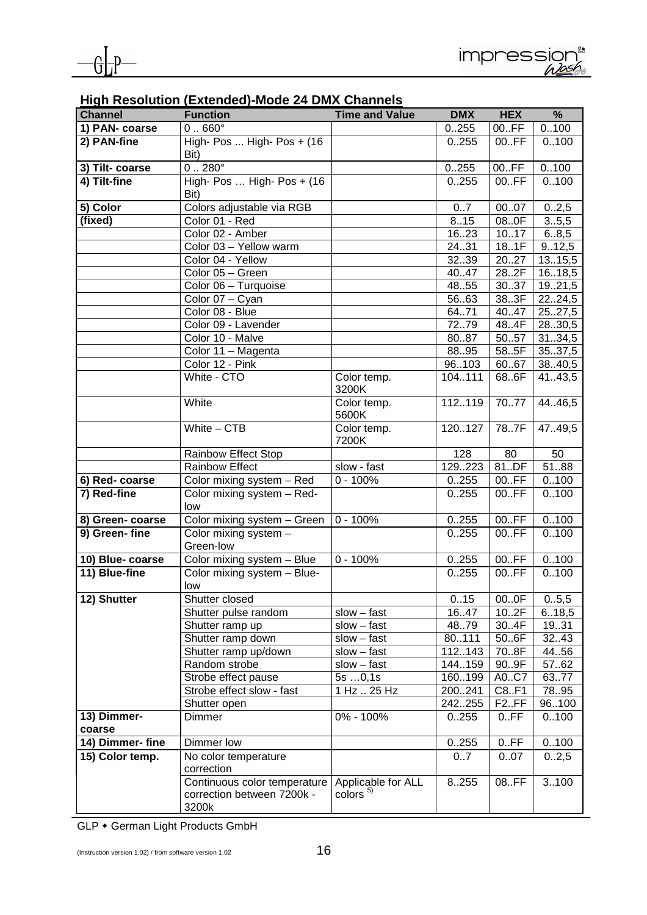| <b>Channel</b>   | <b>Function</b>                                                     | <b>Time and Value</b>                    | <b>DMX</b>        | <b>HEX</b>         | %              |
|------------------|---------------------------------------------------------------------|------------------------------------------|-------------------|--------------------|----------------|
| 1) PAN- coarse   | $0.660^\circ$                                                       |                                          | 0.255             | 00.FF              | 0.100          |
| 2) PAN-fine      | High- Pos  High- Pos + $(16$<br>Bit)                                |                                          | 0.255             | 00.FF              | 0.100          |
| 3) Tilt- coarse  | $0.280^{\circ}$                                                     |                                          | 0.255             | 00.FF              | 0.100          |
| 4) Tilt-fine     | High- Pos  High- Pos + (16)<br>Bit)                                 |                                          | 0.255             | 00.FF              | 0.100          |
| 5) Color         | Colors adjustable via RGB                                           |                                          | 07                | 0007               | 02,5           |
| (fixed)          | Color 01 - Red                                                      |                                          | 8.15              | 08.0F              | 3.5,5          |
|                  | Color 02 - Amber                                                    |                                          | 1623              | 10.17              | 6.8,5          |
|                  | Color 03 - Yellow warm                                              |                                          | 24.31             | 18.1F              | 9.12,5         |
|                  | Color 04 - Yellow                                                   |                                          | 3239              | 2027               | 13.15,5        |
|                  | Color 05 - Green                                                    |                                          | 40.47             | 28.2F              | 16.18,5        |
|                  | Color 06 - Turquoise                                                |                                          | 48.55             | 30.37              | 19.21,5        |
|                  | Color 07 - Cyan                                                     |                                          | 5663              | 383F               | 2224,5         |
|                  | Color 08 - Blue                                                     |                                          | 64.71             | 40.47              | 25.27,5        |
|                  | Color 09 - Lavender                                                 |                                          | 7279              | 48.4F              | 2830,5         |
|                  | Color 10 - Malve                                                    |                                          | 8087              | 5057               | 31.34,5        |
|                  | Color 11 - Magenta                                                  |                                          | 88.95             | 585F               | 3537,5         |
|                  | Color 12 - Pink                                                     |                                          | 96103             | 6067               | 38.40,5        |
|                  | White - CTO                                                         | Color temp.<br>3200K                     | 104.111           | 68.6F              | 41.43,5        |
|                  | White                                                               | Color temp.<br>5600K                     | 112.119           | 70.77              | 44.46,5        |
|                  | White $-$ CTB                                                       | Color temp.<br>7200K                     | 120127            | 787F               | 47.49,5        |
|                  | Rainbow Effect Stop                                                 |                                          | 128               | 80                 | 50             |
|                  | <b>Rainbow Effect</b>                                               | slow - fast                              | 129223            | 81.DF              | 5188           |
| 6) Red-coarse    | Color mixing system - Red                                           | $0 - 100%$                               | 0.255             | 00.FF              | 0.100          |
| 7) Red-fine      | Color mixing system - Red-<br>low                                   |                                          | 0.255             | 00.FF              | 0.100          |
| 8) Green-coarse  | Color mixing system - Green                                         | $0 - 100%$                               | 0.255             | 00.FF              | 0.100          |
| 9) Green-fine    | Color mixing system -<br>Green-low                                  |                                          | 0.255             | 00.FF              | 0.100          |
| 10) Blue-coarse  | Color mixing system - Blue                                          | $0 - 100%$                               | 0.255             | 00.FF              | 0.100          |
| 11) Blue-fine    | Color mixing system - Blue-                                         |                                          | 0.255             | 00.FF              | 0.100          |
|                  | low                                                                 |                                          |                   |                    |                |
| 12) Shutter      | Shutter closed                                                      |                                          | 0.15              | 000F               | 0.05,5         |
|                  | Shutter pulse random                                                | $slow - fast$                            | 16.47             | 10.2F              | 6.18,5         |
|                  | Shutter ramp up                                                     | $slow - fast$                            | 48.79             | 30.4F              | 19.31          |
|                  | Shutter ramp down                                                   | $slow - fast$                            | 80111             | 50.6F              | 32.43          |
|                  | Shutter ramp up/down                                                | $slow - fast$                            | 112.143           | 708F               | 44.56          |
|                  | Random strobe                                                       | $slow - fast$                            | 144.159           | 90.9F              | 57.62<br>6377  |
|                  | Strobe effect pause<br>Strobe effect slow - fast                    | 5s0,1s<br>1 Hz  25 Hz                    | 160.199<br>200241 | A0C7<br>C8.F1      |                |
|                  | Shutter open                                                        |                                          | 242255            | F <sub>2</sub> .FF | 78.95<br>96100 |
| 13) Dimmer-      | Dimmer                                                              | 0% - 100%                                | 0.255             | 0.FF               | 0.100          |
| coarse           |                                                                     |                                          |                   |                    |                |
| 14) Dimmer- fine | Dimmer low                                                          |                                          | 0.255             | 0.FF               | 0.100          |
| 15) Color temp.  | No color temperature<br>correction                                  |                                          | 07                | 0.07               | 02,5           |
|                  | Continuous color temperature<br>correction between 7200k -<br>3200k | Applicable for ALL<br>color <sub>5</sub> | 8.255             | 08.FF              | 3100           |

#### **High Resolution (Extended)-Mode 24 DMX Channels**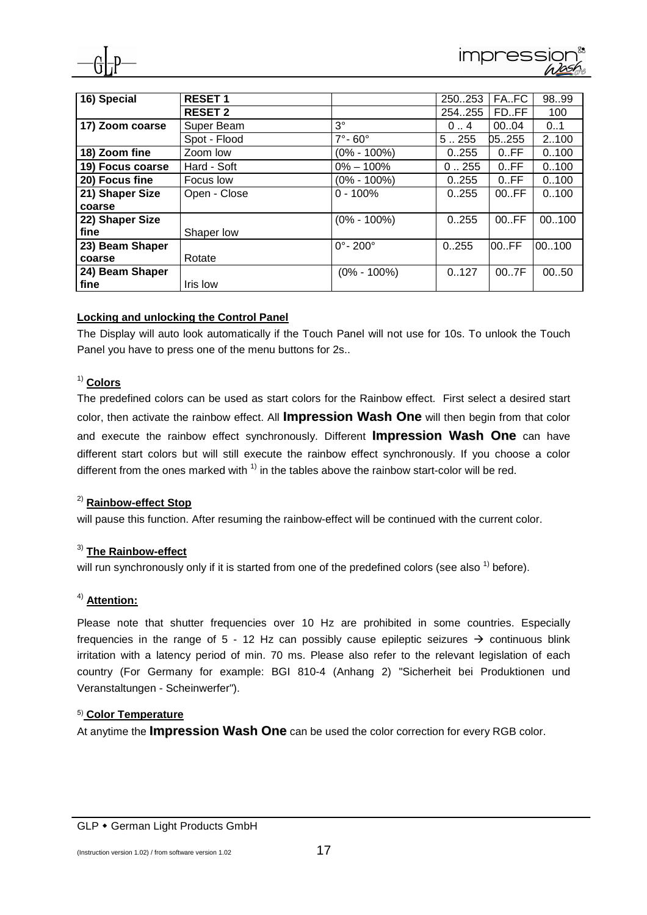

| 16) Special      | <b>RESET 1</b> |                              | 250253  | FA.FC | 9899  |
|------------------|----------------|------------------------------|---------|-------|-------|
|                  | <b>RESET 2</b> |                              | 254.255 | FD.FF | 100   |
| 17) Zoom coarse  | Super Beam     | $3^{\circ}$                  | 04      | 0004  | 0.1   |
|                  | Spot - Flood   | $7^\circ$ -60 $^\circ$       | 5.255   | 05255 | 2100  |
| 18) Zoom fine    | Zoom low       | $(0\% - 100\%)$              | 0.255   | 0.FF  | 0.100 |
| 19) Focus coarse | Hard - Soft    | $0\% - 100\%$                | 0.255   | 0.FF  | 0.100 |
| 20) Focus fine   | Focus low      | $(0\% - 100\%)$              | 0.255   | 0.FF  | 0.100 |
| 21) Shaper Size  | Open - Close   | $0 - 100%$                   | 0.255   | 00.FF | 0.100 |
| coarse           |                |                              |         |       |       |
| 22) Shaper Size  |                | $(0\% - 100\%)$              | 0.255   | 00.FF | 00100 |
| fine             | Shaper low     |                              |         |       |       |
| 23) Beam Shaper  |                | $0^{\circ}$ - 200 $^{\circ}$ | 0.255   | 00.FF | 00100 |
| coarse           | Rotate         |                              |         |       |       |
| 24) Beam Shaper  |                | $(0\% - 100\%)$              | 0.127   | 007F  | 0050  |
| fine             | Iris low       |                              |         |       |       |

#### **Locking and unlocking the Control Panel**

The Display will auto look automatically if the Touch Panel will not use for 10s. To unlook the Touch Panel you have to press one of the menu buttons for 2s..

#### 1) **Colors**

The predefined colors can be used as start colors for the Rainbow effect. First select a desired start color, then activate the rainbow effect. All **Impression Wash One** will then begin from that color and execute the rainbow effect synchronously. Different **Impression Wash One** can have different start colors but will still execute the rainbow effect synchronously. If you choose a color different from the ones marked with  $<sup>1</sup>$  in the tables above the rainbow start-color will be red.</sup>

#### 2) **Rainbow-effect Stop**

will pause this function. After resuming the rainbow-effect will be continued with the current color.

#### 3) **The Rainbow-effect**

will run synchronously only if it is started from one of the predefined colors (see also  $<sup>1</sup>$  before).</sup>

#### 4) **Attention:**

Please note that shutter frequencies over 10 Hz are prohibited in some countries. Especially frequencies in the range of 5 - 12 Hz can possibly cause epileptic seizures  $\rightarrow$  continuous blink irritation with a latency period of min. 70 ms. Please also refer to the relevant legislation of each country (For Germany for example: BGI 810-4 (Anhang 2) "Sicherheit bei Produktionen und Veranstaltungen - Scheinwerfer").

#### 5) **Color Temperature**

At anytime the **Impression Wash One** can be used the color correction for every RGB color.

GLP • German Light Products GmbH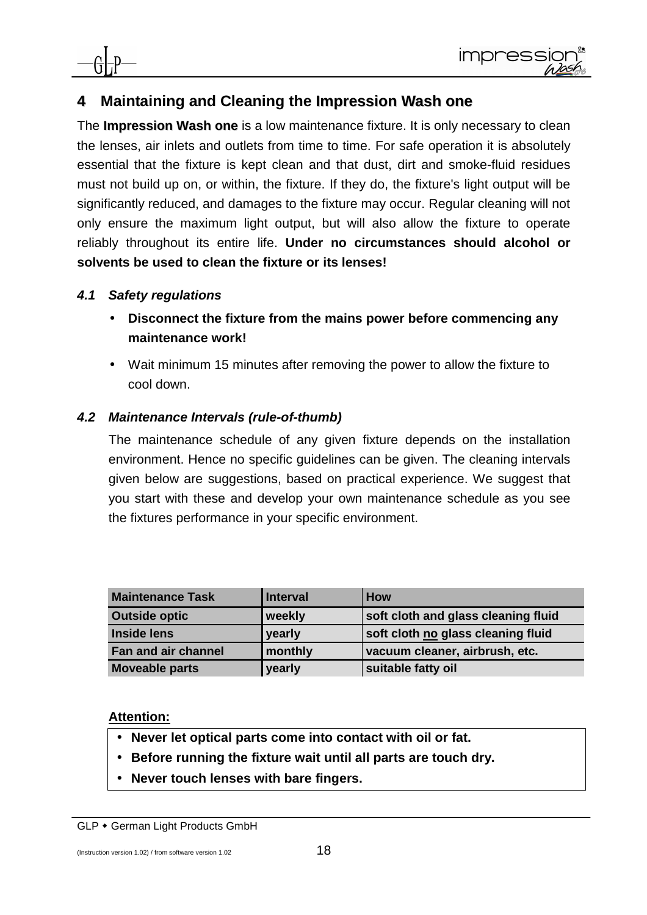## **4 Maintaining and Cleaning the Impression Wash one**

The **Impression Wash one** is a low maintenance fixture. It is only necessary to clean the lenses, air inlets and outlets from time to time. For safe operation it is absolutely essential that the fixture is kept clean and that dust, dirt and smoke-fluid residues must not build up on, or within, the fixture. If they do, the fixture's light output will be significantly reduced, and damages to the fixture may occur. Regular cleaning will not only ensure the maximum light output, but will also allow the fixture to operate reliably throughout its entire life. **Under no circumstances should alcohol or solvents be used to clean the fixture or its lenses!** 

#### **4.1 Safety regulations**

- **Disconnect the fixture from the mains power before commencing any maintenance work!**
- Wait minimum 15 minutes after removing the power to allow the fixture to cool down.

#### **4.2 Maintenance Intervals (rule-of-thumb)**

The maintenance schedule of any given fixture depends on the installation environment. Hence no specific guidelines can be given. The cleaning intervals given below are suggestions, based on practical experience. We suggest that you start with these and develop your own maintenance schedule as you see the fixtures performance in your specific environment.

| <b>Maintenance Task</b>    | <b>Interval</b> | <b>How</b>                          |
|----------------------------|-----------------|-------------------------------------|
| <b>Outside optic</b>       | weekly          | soft cloth and glass cleaning fluid |
| <b>Inside lens</b>         | yearly          | soft cloth no glass cleaning fluid  |
| <b>Fan and air channel</b> | monthly         | vacuum cleaner, airbrush, etc.      |
| <b>Moveable parts</b>      | yearly          | suitable fatty oil                  |

#### **Attention:**

- **Never let optical parts come into contact with oil or fat.**
- **Before running the fixture wait until all parts are touch dry.**
- **Never touch lenses with bare fingers.**

GLP • German Light Products GmbH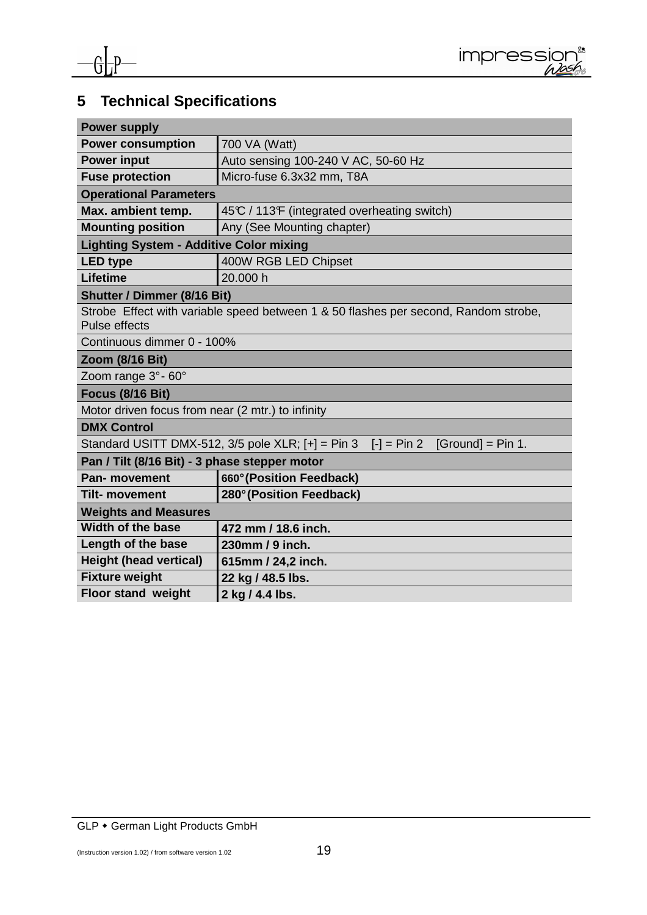

## **5 Technical Specifications**

| <b>Power supply</b>                                                                                         |                                                                                            |  |
|-------------------------------------------------------------------------------------------------------------|--------------------------------------------------------------------------------------------|--|
| <b>Power consumption</b>                                                                                    | 700 VA (Watt)                                                                              |  |
| <b>Power input</b>                                                                                          | Auto sensing 100-240 V AC, 50-60 Hz                                                        |  |
| <b>Fuse protection</b>                                                                                      | Micro-fuse 6.3x32 mm, T8A                                                                  |  |
| <b>Operational Parameters</b>                                                                               |                                                                                            |  |
| Max. ambient temp.                                                                                          | 45°C / 113°F (integrated overheating switch)                                               |  |
| <b>Mounting position</b>                                                                                    | Any (See Mounting chapter)                                                                 |  |
| <b>Lighting System - Additive Color mixing</b>                                                              |                                                                                            |  |
| <b>LED type</b>                                                                                             | 400W RGB LED Chipset                                                                       |  |
| <b>Lifetime</b>                                                                                             | 20.000 h                                                                                   |  |
| <b>Shutter / Dimmer (8/16 Bit)</b>                                                                          |                                                                                            |  |
| Strobe Effect with variable speed between 1 & 50 flashes per second, Random strobe,<br><b>Pulse effects</b> |                                                                                            |  |
| Continuous dimmer 0 - 100%                                                                                  |                                                                                            |  |
| Zoom (8/16 Bit)                                                                                             |                                                                                            |  |
| Zoom range 3° - 60°                                                                                         |                                                                                            |  |
| <b>Focus (8/16 Bit)</b>                                                                                     |                                                                                            |  |
| Motor driven focus from near (2 mtr.) to infinity                                                           |                                                                                            |  |
| <b>DMX Control</b>                                                                                          |                                                                                            |  |
|                                                                                                             | Standard USITT DMX-512, $3/5$ pole XLR; $[+] = Pin 3$ $[-] = Pin 2$<br>$[Ground] = Pin 1.$ |  |
| Pan / Tilt (8/16 Bit) - 3 phase stepper motor                                                               |                                                                                            |  |
| <b>Pan-</b> movement                                                                                        | 660° (Position Feedback)                                                                   |  |
| <b>Tilt- movement</b>                                                                                       | 280° (Position Feedback)                                                                   |  |
| <b>Weights and Measures</b>                                                                                 |                                                                                            |  |
| <b>Width of the base</b>                                                                                    | 472 mm / 18.6 inch.                                                                        |  |
| Length of the base                                                                                          | 230mm / 9 inch.                                                                            |  |
| <b>Height (head vertical)</b>                                                                               | 615mm / 24,2 inch.                                                                         |  |
| <b>Fixture weight</b>                                                                                       | 22 kg / 48.5 lbs.                                                                          |  |
| <b>Floor stand weight</b>                                                                                   | 2 kg / 4.4 lbs.                                                                            |  |

GLP • German Light Products GmbH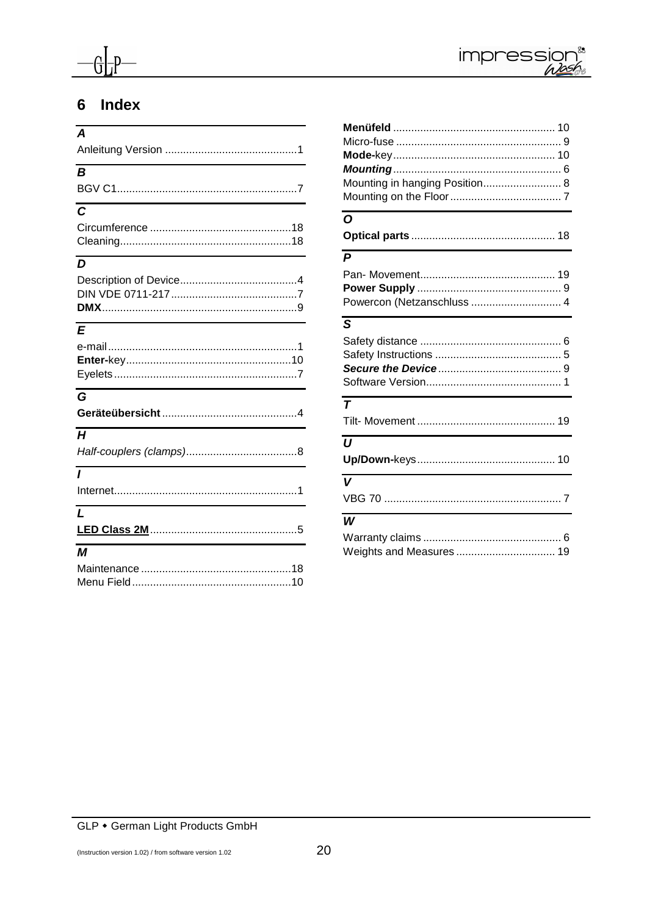



## 6 Index

| $\Delta$                              |
|---------------------------------------|
|                                       |
| $\boldsymbol{B}$                      |
|                                       |
|                                       |
| $\overline{c}$                        |
|                                       |
|                                       |
| and the control of the control of the |
| D                                     |
|                                       |
|                                       |
|                                       |
| $\mathbf{E}$                          |
|                                       |
|                                       |
|                                       |
|                                       |
| $\overline{G}$                        |
|                                       |
| H                                     |
|                                       |
|                                       |
| $\overline{I}$                        |
|                                       |
| $\mathbf{L}$                          |
|                                       |
| М                                     |
|                                       |
|                                       |

| Mounting in hanging Position 8 |
|--------------------------------|
|                                |
| $\Omega$                       |
|                                |
| $\overline{P}$                 |
|                                |
|                                |
| Powercon (Netzanschluss  4     |
| $\overline{s}$                 |
|                                |
|                                |
|                                |
|                                |
| $\overline{\tau}$              |
|                                |
| $\boldsymbol{U}$               |
|                                |
| $\overline{\mathsf{v}}$        |
|                                |
| W                              |
|                                |
| Weights and Measures  19       |